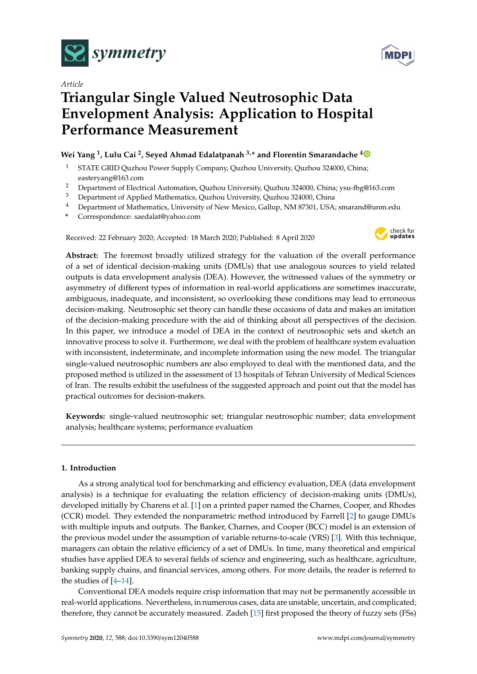

*Article*

# **Triangular Single Valued Neutrosophic Data Envelopment Analysis: Application to Hospital Performance Measurement**

## **Wei Yang <sup>1</sup> , Lulu Cai <sup>2</sup> , Seyed Ahmad Edalatpanah 3,\* and Florentin Smarandache [4](https://orcid.org/0000-0002-5560-5926)**

- <sup>1</sup> STATE GRID Quzhou Power Supply Company, Quzhou University, Quzhou 324000, China; easteryang@163.com
- <sup>2</sup> Department of Electrical Automation, Quzhou University, Quzhou 324000, China; ysu-fbg@163.com<br><sup>3</sup> Department of Applied Mathematics, Quzhou University, Quzhou 324000, China
- <sup>3</sup> Department of Applied Mathematics, Quzhou University, Quzhou 324000, China
- <sup>4</sup> Department of Mathematics, University of New Mexico, Gallup, NM 87301, USA; smarand@unm.edu
- **\*** Correspondence: saedalat@yahoo.com

Received: 22 February 2020; Accepted: 18 March 2020; Published: 8 April 2020



**Abstract:** The foremost broadly utilized strategy for the valuation of the overall performance of a set of identical decision-making units (DMUs) that use analogous sources to yield related outputs is data envelopment analysis (DEA). However, the witnessed values of the symmetry or asymmetry of different types of information in real-world applications are sometimes inaccurate, ambiguous, inadequate, and inconsistent, so overlooking these conditions may lead to erroneous decision-making. Neutrosophic set theory can handle these occasions of data and makes an imitation of the decision-making procedure with the aid of thinking about all perspectives of the decision. In this paper, we introduce a model of DEA in the context of neutrosophic sets and sketch an innovative process to solve it. Furthermore, we deal with the problem of healthcare system evaluation with inconsistent, indeterminate, and incomplete information using the new model. The triangular single-valued neutrosophic numbers are also employed to deal with the mentioned data, and the proposed method is utilized in the assessment of 13 hospitals of Tehran University of Medical Sciences of Iran. The results exhibit the usefulness of the suggested approach and point out that the model has practical outcomes for decision-makers.

**Keywords:** single-valued neutrosophic set; triangular neutrosophic number; data envelopment analysis; healthcare systems; performance evaluation

## **1. Introduction**

As a strong analytical tool for benchmarking and efficiency evaluation, DEA (data envelopment analysis) is a technique for evaluating the relation efficiency of decision-making units (DMUs), developed initially by Charens et al. [\[1\]](#page-11-0) on a printed paper named the Charnes, Cooper, and Rhodes (CCR) model. They extended the nonparametric method introduced by Farrell [\[2\]](#page-11-1) to gauge DMUs with multiple inputs and outputs. The Banker, Charnes, and Cooper (BCC) model is an extension of the previous model under the assumption of variable returns-to-scale (VRS) [\[3\]](#page-11-2). With this technique, managers can obtain the relative efficiency of a set of DMUs. In time, many theoretical and empirical studies have applied DEA to several fields of science and engineering, such as healthcare, agriculture, banking supply chains, and financial services, among others. For more details, the reader is referred to the studies of [\[4](#page-11-3)[–14\]](#page-11-4).

Conventional DEA models require crisp information that may not be permanently accessible in real-world applications. Nevertheless, in numerous cases, data are unstable, uncertain, and complicated; therefore, they cannot be accurately measured. Zadeh [\[15\]](#page-11-5) first proposed the theory of fuzzy sets (FSs)

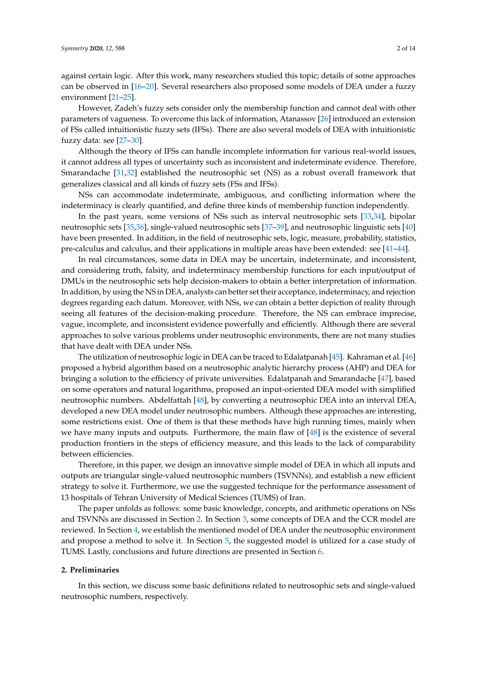against certain logic. After this work, many researchers studied this topic; details of some approaches can be observed in [\[16](#page-11-6)[–20\]](#page-12-0). Several researchers also proposed some models of DEA under a fuzzy environment [\[21](#page-12-1)[–25\]](#page-12-2).

However, Zadeh's fuzzy sets consider only the membership function and cannot deal with other parameters of vagueness. To overcome this lack of information, Atanassov [\[26\]](#page-12-3) introduced an extension of FSs called intuitionistic fuzzy sets (IFSs). There are also several models of DEA with intuitionistic fuzzy data: see [\[27–](#page-12-4)[30\]](#page-12-5).

Although the theory of IFSs can handle incomplete information for various real-world issues, it cannot address all types of uncertainty such as inconsistent and indeterminate evidence. Therefore, Smarandache [\[31](#page-12-6)[,32\]](#page-12-7) established the neutrosophic set (NS) as a robust overall framework that generalizes classical and all kinds of fuzzy sets (FSs and IFSs).

NSs can accommodate indeterminate, ambiguous, and conflicting information where the indeterminacy is clearly quantified, and define three kinds of membership function independently.

In the past years, some versions of NSs such as interval neutrosophic sets [\[33,](#page-12-8)[34\]](#page-12-9), bipolar neutrosophic sets [\[35](#page-12-10)[,36\]](#page-12-11), single-valued neutrosophic sets [\[37](#page-12-12)[–39\]](#page-12-13), and neutrosophic linguistic sets [\[40\]](#page-12-14) have been presented. In addition, in the field of neutrosophic sets, logic, measure, probability, statistics, pre-calculus and calculus, and their applications in multiple areas have been extended: see [\[41–](#page-12-15)[44\]](#page-13-0).

In real circumstances, some data in DEA may be uncertain, indeterminate, and inconsistent, and considering truth, falsity, and indeterminacy membership functions for each input/output of DMUs in the neutrosophic sets help decision-makers to obtain a better interpretation of information. In addition, by using the NS in DEA, analysts can better set their acceptance, indeterminacy, and rejection degrees regarding each datum. Moreover, with NSs, we can obtain a better depiction of reality through seeing all features of the decision-making procedure. Therefore, the NS can embrace imprecise, vague, incomplete, and inconsistent evidence powerfully and efficiently. Although there are several approaches to solve various problems under neutrosophic environments, there are not many studies that have dealt with DEA under NSs.

The utilization of neutrosophic logic in DEA can be traced to Edalatpanah [\[45\]](#page-13-1). Kahraman et al. [\[46\]](#page-13-2) proposed a hybrid algorithm based on a neutrosophic analytic hierarchy process (AHP) and DEA for bringing a solution to the efficiency of private universities. Edalatpanah and Smarandache [\[47\]](#page-13-3), based on some operators and natural logarithms, proposed an input-oriented DEA model with simplified neutrosophic numbers. Abdelfattah [\[48\]](#page-13-4), by converting a neutrosophic DEA into an interval DEA, developed a new DEA model under neutrosophic numbers. Although these approaches are interesting, some restrictions exist. One of them is that these methods have high running times, mainly when we have many inputs and outputs. Furthermore, the main flaw of [\[48\]](#page-13-4) is the existence of several production frontiers in the steps of efficiency measure, and this leads to the lack of comparability between efficiencies.

Therefore, in this paper, we design an innovative simple model of DEA in which all inputs and outputs are triangular single-valued neutrosophic numbers (TSVNNs), and establish a new efficient strategy to solve it. Furthermore, we use the suggested technique for the performance assessment of 13 hospitals of Tehran University of Medical Sciences (TUMS) of Iran.

The paper unfolds as follows: some basic knowledge, concepts, and arithmetic operations on NSs and TSVNNs are discussed in Section [2.](#page-1-0) In Section [3,](#page-3-0) some concepts of DEA and the CCR model are reviewed. In Section [4,](#page-4-0) we establish the mentioned model of DEA under the neutrosophic environment and propose a method to solve it. In Section [5,](#page-5-0) the suggested model is utilized for a case study of TUMS. Lastly, conclusions and future directions are presented in Section [6.](#page-10-0)

#### <span id="page-1-0"></span>**2. Preliminaries**

In this section, we discuss some basic definitions related to neutrosophic sets and single-valued neutrosophic numbers, respectively.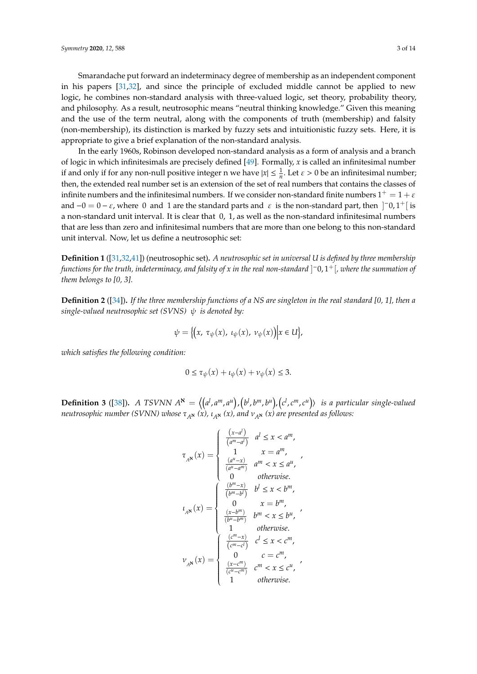In the early 1960s, Robinson developed non-standard analysis as a form of analysis and a branch of logic in which infinitesimals are precisely defined [\[49\]](#page-13-5). Formally, *x* is called an infinitesimal number if and only if for any non-null positive integer n we have  $|x| \leq \frac{1}{n}$ . Let  $\varepsilon > 0$  be an infinitesimal number; then, the extended real number set is an extension of the set of real numbers that contains the classes of infinite numbers and the infinitesimal numbers. If we consider non-standard finite numbers  $1^+=1+\varepsilon$ and  $-0 = 0 - \varepsilon$ , where 0 and 1 are the standard parts and  $\varepsilon$  is the non-standard part, then  $]$ <sup>-</sup>0,1<sup>+</sup> [is a non-standard unit interval. It is clear that 0, 1, as well as the non-standard infinitesimal numbers that are less than zero and infinitesimal numbers that are more than one belong to this non-standard unit interval. Now, let us define a neutrosophic set:

appropriate to give a brief explanation of the non-standard analysis.

**Definition 1** ([\[31](#page-12-6)[,32,](#page-12-7)[41\]](#page-12-15)) (neutrosophic set)**.** *A neutrosophic set in universal U is defined by three membership functions for the truth, indeterminacy, and falsity of x in the real non-standard* ] <sup>−</sup>0, 1+[*, where the summation of them belongs to [0, 3].*

**Definition 2** ([\[34\]](#page-12-9))**.** *If the three membership functions of a NS are singleton in the real standard [0, 1], then a single-valued neutrosophic set (SVNS)* ψ *is denoted by:*

$$
\psi = \big\{ \big(x, \tau_{\psi}(x), \iota_{\psi}(x), \nu_{\psi}(x) \big) \big| x \in U \big\},\
$$

*which satisfies the following condition:*

$$
0 \le \tau_{\psi}(x) + \iota_{\psi}(x) + \nu_{\psi}(x) \le 3.
$$

**Definition 3** ([\[38\]](#page-12-16)). A TSVNN  $A^{\aleph} = \langle (a^l, a^m, a^u), (b^l, b^m, b^u), (c^l, c^m, c^u) \rangle$  is a particular single-valued *neutrosophic number (SVNN) whose*  $\tau_{A^k}(x)$ ,  $\iota_{A^k}(x)$ , and  $\nu_{A^k}(x)$  are presented as follows:

$$
\tau_{A^{\mathbf{N}}}(x) = \begin{cases}\n\frac{(x-a^l)}{(a^m-a^l)} & a^l \leq x < a^m, \\
\frac{1}{(a^m-a^l)} & x = a^m, \\
\frac{(a^u-x)}{(a^u-a^m)} & a^m < x \leq a^u, \\
0 & \text{otherwise.} \\
\frac{(b^m-x)}{(b^m-b^l)} & b^l \leq x < b^m, \\
\frac{(x-b^m)}{(b^m-b^m)} & b^m < x \leq b^u, \\
1 & \text{otherwise.} \\
\frac{(c^m-x)}{(c^m-c^l)} & c^l \leq x < c^m, \\
\nu_{A^{\mathbf{N}}}(x) = \begin{cases}\n\frac{(c^m-x)}{(c^m-c^l)} & c^l \leq x < c^m, \\
0 & c = c^m, \\
\frac{(x-c^m)}{(c^u-c^m)} & c^m < x \leq c^u, \\
1 & \text{otherwise.}\n\end{cases}
$$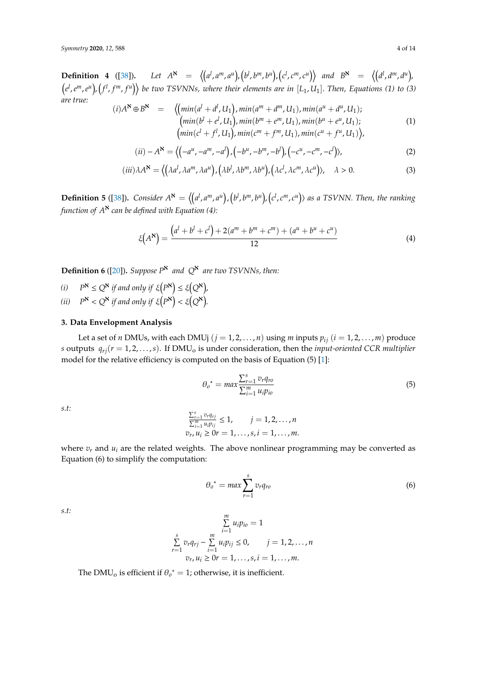**Definition 4** ([\[38\]](#page-12-16)). Let  $A^{\aleph} = \langle (a^l, a^m, a^u), (b^l, b^m, b^u), (c^l, c^m, c^u) \rangle$  and  $B^{\aleph} = \langle (d^l, d^m, d^u), (d^l, d^m, d^u) \rangle$  $\left(e^l,e^m,e^u\right)$ ,  $\left(f^l,f^m,f^u\right)\right\}$  be two TSVNNs, where their elements are in  $[L_1,U_1].$  Then, Equations (1) to (3) *are true:*  $\overline{u}$ 

$$
(i) A^{\mathbf{N}} \oplus B^{\mathbf{N}} = \left\langle \left( \min(a^l + d^l, U_1), \min(a^m + d^m, U_1), \min(a^u + d^u, U_1) \right), \\ \left( \min(b^l + e^l, U_1), \min(b^m + e^m, U_1), \min(b^u + e^u, U_1) \right), \\ \left( \min(c^l + f^l, U_1), \min(c^m + f^m, U_1), \min(c^u + f^u, U_1) \right), \right\rangle
$$
\n(1)

$$
(ii) - A^{\mathbf{N}} = \left\langle \left( -a^{u}, -a^{m}, -a^{l} \right), \left( -b^{u}, -b^{m}, -b^{l} \right), \left( -c^{u}, -c^{m}, -c^{l} \right) \right\rangle, \tag{2}
$$

$$
(iii)\lambda A^{\mathbf{N}} = \langle (\lambda a^l, \lambda a^m, \lambda a^u), (\lambda b^l, \lambda b^m, \lambda b^u), (\lambda c^l, \lambda c^m, \lambda c^u) \rangle, \quad \lambda > 0. \tag{3}
$$

**Definition 5** ([\[38\]](#page-12-16)). Consider  $A^{\aleph} = \langle (a^l, a^m, a^u), (b^l, b^m, b^u), (c^l, c^m, c^u) \rangle$  as a TSVNN. Then, the ranking *function of A*<sup>ℵ</sup> *can be defined with Equation (4):*

$$
\xi(A^{\aleph}) = \frac{(a^l + b^l + c^l) + 2(a^m + b^m + c^m) + (a^u + b^u + c^u)}{12}
$$
\n(4)

**Definition 6** ([\[20\]](#page-12-0)). *Suppose*  $P^{\mathbf{S}}$  *and*  $Q^{\mathbf{S}}$  *are two TSVNNs, then:* 

*(i)*  $P^{\mathbf{N}} \leq Q^{\mathbf{N}}$  *if and only if*  $\xi(P^{\mathbf{N}}) \leq \xi(Q^{\mathbf{N}})$ , (*ii*)  $P^{\mathbf{N}} < Q^{\mathbf{N}}$  *if and only if*  $\xi(P^{\mathbf{N}}) < \xi(Q^{\mathbf{N}})$ .

#### <span id="page-3-0"></span>**3. Data Envelopment Analysis**

Let a set of *n* DMUs, with each DMUj  $(j = 1, 2, ..., n)$  using *m* inputs  $p_{ij}$   $(i = 1, 2, ..., m)$  produce *s* outputs  $q_{ri}(r = 1, 2, \ldots, s)$ . If DMU<sub>o</sub> is under consideration, then the *input-oriented CCR multiplier* model for the relative efficiency is computed on the basis of Equation (5) [\[1\]](#page-11-0):

$$
\theta_o^* = \max \frac{\sum_{r=1}^s v_r q_{ro}}{\sum_{i=1}^m u_i p_{io}}
$$
\n
$$
\tag{5}
$$

*s.t:*

$$
\frac{\sum_{r=1}^{s} v_r q_{rj}}{\sum_{i=1}^{m} u_i p_{ij}} \le 1, \qquad j = 1, 2, ..., n
$$
  

$$
v_r, u_i \ge 0r = 1, ..., s, i = 1, ..., m.
$$

where  $v_r$  and  $u_i$  are the related weights. The above nonlinear programming may be converted as Equation (6) to simplify the computation:

$$
\theta_o^* = \max \sum_{r=1}^s v_r q_{ro}
$$
 (6)

*s.t:*

$$
\sum_{i=1}^{m} u_i p_{io} = 1
$$
  

$$
\sum_{r=1}^{s} v_r q_{rj} - \sum_{i=1}^{m} u_i p_{ij} \le 0, \qquad j = 1, 2, ..., n
$$
  

$$
v_r, u_i \ge 0r = 1, ..., s, i = 1, ..., m.
$$

The  $\text{DMU}_0$  is efficient if  $\theta_o^* = 1$ ; otherwise, it is inefficient.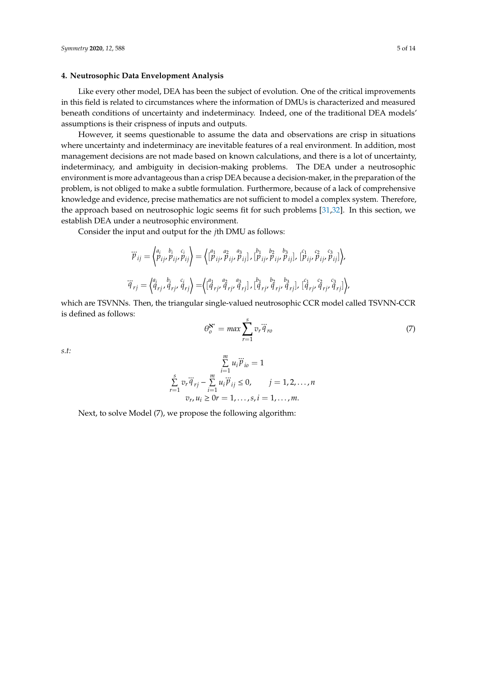#### <span id="page-4-0"></span>**4. Neutrosophic Data Envelopment Analysis**

Like every other model, DEA has been the subject of evolution. One of the critical improvements in this field is related to circumstances where the information of DMUs is characterized and measured beneath conditions of uncertainty and indeterminacy. Indeed, one of the traditional DEA models' assumptions is their crispness of inputs and outputs.

However, it seems questionable to assume the data and observations are crisp in situations where uncertainty and indeterminacy are inevitable features of a real environment. In addition, most management decisions are not made based on known calculations, and there is a lot of uncertainty, indeterminacy, and ambiguity in decision-making problems. The DEA under a neutrosophic environment is more advantageous than a crisp DEA because a decision-maker, in the preparation of the problem, is not obliged to make a subtle formulation. Furthermore, because of a lack of comprehensive knowledge and evidence, precise mathematics are not sufficient to model a complex system. Therefore, the approach based on neutrosophic logic seems fit for such problems [\[31,](#page-12-6)[32\]](#page-12-7). In this section, we establish DEA under a neutrosophic environment.

Consider the input and output for the *j*th DMU as follows:

$$
\ddot{\mathcal{V}}_{ij} = \begin{pmatrix} a_i & b_i & c_i \\ p_{ij}, p_{ij}, p_{ij} \end{pmatrix} = \left\{ \begin{pmatrix} a_1 & a_2 & a_3 \\ p_{ij}, p_{ij}, p_{ij} \end{pmatrix}, \begin{pmatrix} b_1 & b_2 & b_3 \\ p_{ij}, p_{ij}, p_{ij} \end{pmatrix}, \begin{pmatrix} c_1 & c_2 & c_3 \\ p_{ij}, p_{ij}, p_{ij} \end{pmatrix} \right\},
$$
\n
$$
\ddot{\mathcal{V}}_{rj} = \begin{pmatrix} a_i & b_i & c_i \\ q_{rj}, q_{rj}, q_{rj} \end{pmatrix} = \left\{ \begin{pmatrix} a_1 & a_2 & a_3 \\ q_{rj}, q_{rj}, q_{rj} \end{pmatrix}, \begin{pmatrix} b_1 & b_2 & b_3 \\ q_{rj}, q_{rj}, q_{rj} \end{pmatrix}, \begin{pmatrix} c_1 & c_2 & c_3 \\ q_{rj}, q_{rj}, q_{rj} \end{pmatrix} \right\}
$$

which are TSVNNs. Then, the triangular single-valued neutrosophic CCR model called TSVNN-CCR is defined as follows:

$$
\theta_o^{\mathbf{X}^*} = \max \sum_{r=1}^s v_r \ddot{q}_{ro} \tag{7}
$$

,

*s.t:*

$$
\sum_{i=1}^{m} u_i \ddot{p}_{io} = 1
$$
  

$$
\sum_{r=1}^{s} v_r \ddot{q}_{rj} - \sum_{i=1}^{m} u_i \ddot{p}_{ij} \le 0, \qquad j = 1, 2, ..., n
$$
  

$$
v_r, u_i \ge 0r = 1, ..., s, i = 1, ..., m.
$$

Next, to solve Model (7), we propose the following algorithm: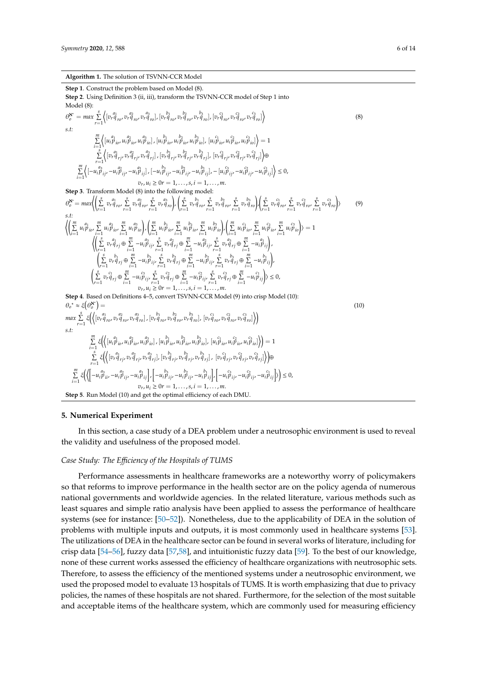#### **Algorithm 1.** The solution of TSVNN-CCR Model

**Step 1**. Construct the problem based on Model (8). **Step 2**. Using Definition 3 (ii, iii), transform the TSVNN-CCR model of Step 1 into Model (8):  $\theta_o^{\mathbf{x}^*} = \max_{r=1}^s$  $\left\langle [v_r \overset{a_1}{q}_{r o}, v_r \overset{a_2}{q}_{r o}, v_r \overset{a_3}{q}_{r o}], [v_r \overset{b_1}{q}_{r o}, v_r \overset{b_2}{q}_{r o}, v_r \overset{b_3}{q}_{r o}], [v_r \overset{c_1}{q}_{r o}, v_r \overset{c_2}{q}_{r o}, v_r \overset{c_3}{q}_{r o}] \right\rangle$ (8) *s.t:*  $\sum_{i=1}^m \left\langle [u_i^{a_1}_{\ \ i_0},u_i^{a_2}_{\ \ i_0},u_i^{a_3}_{\ \ i_0}], [u_i^{\ b_1}_{\ \ i_0},u_i^{\ b_2}_{\ \ i_0},u_i^{\ b_3}_{\ \ i_0}], \ [u_i^{\ c_1}_{\ \ i_0},u_i^{\ c_2}_{\ \ i_0},u_i^{\ c_3}_{\ \ i_0}] \right\rangle =1$  $\sum_{r=1}^{i=1}$  $\big\langle [v_r \overset{a_1}{q}_{rj}, v_r \overset{a_2}{q}_{rj}, v_r \overset{a_3}{q}_{rj}]\, , [v_r \overset{b_1}{q}_{rj}, v_r \overset{b_2}{q}_{rj}, v_r \overset{b_3}{q}_{rj}]\, , \, [v_r \overset{c_1}{q}_{rj}, v_r \overset{c_2}{q}_{rj}, v_r \overset{c_3}{q}_{rj}] \big\rangle \oplus$  $\sum_{i=1}^m$  $\left\langle \left[-u_i^{\ a_3}_{l'j'}-u_i^{\ a_2}_{l'j'}-u_i^{\ a_1}_{l'j}\right],\left[-u_i^{\ b_3}_{l'j'}-u_i^{\ b_2}_{l'j'}-u_i^{\ b_1}_{l'j}\right],-\left[u_i^{\ c_3}_{l'j'}-u_i^{\ c_2}_{l'j'}-u_i^{\ c_1}_{l'j}\right]\right\rangle\leq 0,$  $v_r, u_i \ge 0$ *r* = 1, . . . , *s*, *i* = 1, . . . , *m*. **Step 3**. Transform Model (8) into the following model:  $\theta_o^{\mathbf{N}} = max \Biggl\langle \left( \sum_{r=1}^s v_r \hat{q}_{r o'} \sum_{r=1}^s v_r \hat{q}_{r o'} \sum_{r=1}^s v_r \hat{q}_{r o} \right)_{r} \Biggl\langle \sum_{r=1}^s v_r \hat{q}_{r o'} \sum_{r=1}^s v_r \hat{q}_{r o'} \sum_{r=1}^s v_r \hat{q}_{r o'} \sum_{r=1}^s v_r \hat{q}_{r o} \Biggr\rangle \Biggl\langle \sum_{r=1}^s v_r \hat{q}_{r o'} \sum_{r=1}^s v_r \hat{q}_{r o'} \sum_{r=1}^$ i (9) *s.t:*  $\left\langle \left( \mathop{\sum}_{i=1}^m u_i^a{}_i \mathop{p}\right.^m_{i\!1} u_i^a{}^a_{i\!0}, \mathop{\sum}_{i=1}^m u_i^a{}^a_{i\!0} \right\rangle , \left( \mathop{\sum}_{i=1}^m u_i^b{}_{i\!0}, \mathop{\sum}_{i=1}^m u_i^b{}^a_{i\!0}, \mathop{\sum}_{i=1}^m u_i^b{}^a_{i\!0} \right\rangle \left\langle \mathop{\sum}_{i=1}^m u_i^c{}^a_{i\!0}, \mathop{\sum}_{i=1}^m u_i^c{}^a_{i\!0}, \mathop$  $\left\langle \left( \sum_{r=1}^s v_r^{\,a_1}_{q_r j} \oplus \sum_{i=1}^m - u_i^{\,a_3}_{i\,j}, \sum_{r=1}^s v_r^{\,a_2}_{q_{rj}} \oplus \sum_{i=1}^m - u_i^{\,a_2}_{i\,j}, \sum_{r=1}^s v_r^{\,a_3}_{q_{rj}} \oplus \sum_{i=1}^m - u_i^{\,a_1}_{i\,j} \right), \right.$  $\left(\sum\limits_{}^s v_r \overset{b_1}{q}_{rj} \oplus \sum\limits_{}^m - u_i \overset{b_3}{p}_{ij}, \sum\limits_{}^s v_r \overset{b_2}{q}_{rj} \oplus \sum\limits_{}^m - u_i \overset{b_2}{p}_{ij}, \sum\limits_{}^s v_r \overset{b_3}{q}_{rj} \oplus \sum\limits_{}^m - u_i \overset{b_1}{p}_{ij}\right)$  $\begin{array}{ccc} \big\backslash r=1 & , & r=1 & , & r=1 \\ \left(\sum\limits_{r=1}^{s} v_r c_{j_{rj}}^0 \oplus \sum\limits_{i=1}^{m} -u_i c_{j_{rj}}^0, \sum\limits_{r=1}^{s} v_r c_{j_{rj}}^2 \oplus \sum\limits_{i=1}^{m} -u_i c_{j_{rj}}^0, \sum\limits_{r=1}^{s} v_r c_{j_{rj}}^3 \oplus \sum\limits_{r=1}^{m} -u_i c_{j_{rj}}^0\big\} \big\rangle \leq 0, \end{array}$  $v_r, u_i \geq 0$ *r* = 1, . . . *, s, i* = 1, . . . *, m*. **Step 4**. Based on Definitions 4–5, convert TSVNN-CCR Model (9) into crisp Model (10):  $\theta_o^* \approx \xi(\theta_o^{\mathbf{N}^*}) =$  $max \sum_{r=1}^s \xi \Big(\Big<\big[v_r^{a_1}_{q_{r0}}, v_r^{a_2}_{q_{r0}}, v_r^{a_3}_{q_{r0}}\big], \big[v_r^{b_1}_{q_{r0}}, v_r^{b_2}_{q_{r0}}, v_r^{b_3}_{q_{r0}}\big], \big[v_r^{c_1}_{q_{r0}}, v_r^{c_2}_{q_{r0}}, v_r^{c_3}_{q_{r0}}\big]\Big>\Big)$ (10) *s.t:*

$$
\sum_{i=1}^{m} \xi \Big( \Big\{ \Big( [u_{i}^{a_{1}} \tilde{p}_{io}, u_{i}^{a_{2}} \tilde{p}_{io}, u_{i}^{a_{3}} \tilde{p}_{io}, u_{i}^{b_{1}} \tilde{p}_{io}, u_{i}^{b_{2}} \tilde{p}_{io}, u_{i}^{c_{3}} \tilde{p}_{io} \Big), \Big[ u_{i}^{c_{1}} \tilde{p}_{io}, u_{i}^{c_{3}} \tilde{p}_{io}, u_{i}^{c_{3}} \tilde{p}_{io} \Big] \Big\rangle \Big) = 1
$$
\n
$$
\sum_{r=1}^{s} \xi \Big( \Big\{ \Big[ v_{r}^{a_{1}} \tilde{q}_{rj}, v_{r}^{a_{2}} \tilde{q}_{rj}, v_{r}^{a_{3}} \tilde{q}_{rj} \Big], \Big[ v_{r}^{b_{1}} \tilde{q}_{rj}, v_{r}^{c_{3}} \tilde{q}_{rj} \Big], \Big[ v_{r}^{c_{1}} \tilde{q}_{rj}, v_{r}^{c_{3}} \tilde{q}_{rj} \Big], \Big[ v_{r}^{c_{1}} \tilde{q}_{rj}, v_{r}^{c_{3}} \tilde{q}_{rj} \Big], \Big[ v_{r}^{c_{1}} \tilde{q}_{rj}, v_{r}^{c_{3}} \tilde{q}_{rj} \Big] \Big\rangle \Big\} \oplus
$$
\n
$$
\sum_{i=1}^{m} \xi \Big( \Big\{ \Big[ -u_{i}^{a_{3}} \tilde{p}_{ii}, -u_{i}^{a_{2}} \tilde{p}_{ij}, -u_{i}^{a_{1}} \tilde{p}_{ij} \Big], \Big[ -u_{i}^{b_{3}} \tilde{p}_{ij}, -u_{i}^{b_{2}} \tilde{p}_{ij}, -u_{i}^{b_{1}} \tilde{p}_{ij} \Big], \Big[ -u_{i}^{c_{3}} \tilde{p}_{ij}, -u_{i}^{c_{2}} \tilde{p}_{ij}, -u_{i}^{c_{1}} \tilde{p}_{ij} \Big] \Big\rangle \Big\} \leq 0,
$$
\n
$$
v_{r}, u_{i} \geq 0 \quad r = 1, ..., s, i = 1, ..., m.
$$
\n**Step 5.** Run Model (10) and get the optimal efficiency of each DMU.

#### <span id="page-5-0"></span>**5. Numerical Experiment**

In this section, a case study of a DEA problem under a neutrosophic environment is used to reveal the validity and usefulness of the proposed model.

### *Case Study: The E*ffi*ciency of the Hospitals of TUMS*

Performance assessments in healthcare frameworks are a noteworthy worry of policymakers so that reforms to improve performance in the health sector are on the policy agenda of numerous national governments and worldwide agencies. In the related literature, various methods such as least squares and simple ratio analysis have been applied to assess the performance of healthcare systems (see for instance: [\[50–](#page-13-6)[52\]](#page-13-7)). Nonetheless, due to the applicability of DEA in the solution of problems with multiple inputs and outputs, it is most commonly used in healthcare systems [\[53\]](#page-13-8). The utilizations of DEA in the healthcare sector can be found in several works of literature, including for crisp data [\[54](#page-13-9)[–56\]](#page-13-10), fuzzy data [\[57,](#page-13-11)[58\]](#page-13-12), and intuitionistic fuzzy data [\[59\]](#page-13-13). To the best of our knowledge, none of these current works assessed the efficiency of healthcare organizations with neutrosophic sets. Therefore, to assess the efficiency of the mentioned systems under a neutrosophic environment, we used the proposed model to evaluate 13 hospitals of TUMS. It is worth emphasizing that due to privacy policies, the names of these hospitals are not shared. Furthermore, for the selection of the most suitable and acceptable items of the healthcare system, which are commonly used for measuring efficiency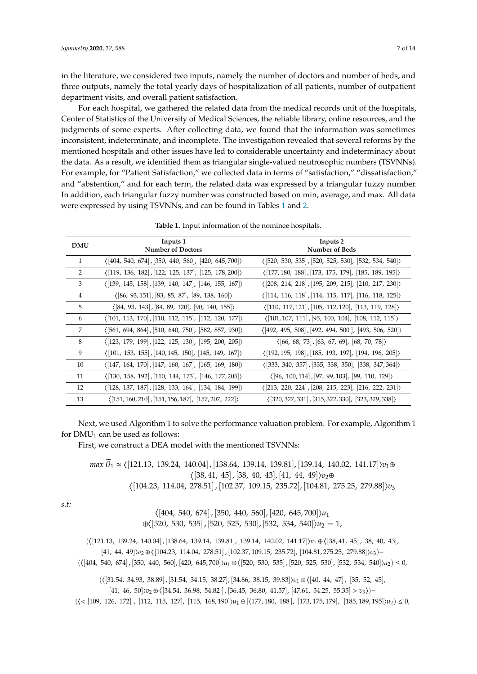in the literature, we considered two inputs, namely the number of doctors and number of beds, and three outputs, namely the total yearly days of hospitalization of all patients, number of outpatient department visits, and overall patient satisfaction.

For each hospital, we gathered the related data from the medical records unit of the hospitals, Center of Statistics of the University of Medical Sciences, the reliable library, online resources, and the judgments of some experts. After collecting data, we found that the information was sometimes inconsistent, indeterminate, and incomplete. The investigation revealed that several reforms by the mentioned hospitals and other issues have led to considerable uncertainty and indeterminacy about the data. As a result, we identified them as triangular single-valued neutrosophic numbers (TSVNNs). For example, for "Patient Satisfaction," we collected data in terms of "satisfaction," "dissatisfaction," and "abstention," and for each term, the related data was expressed by a triangular fuzzy number. In addition, each triangular fuzzy number was constructed based on min, average, and max. All data were expressed by using TSVNNs, and can be found in Tables [1](#page-6-0) and [2.](#page-8-0)

<span id="page-6-0"></span>

| <b>DMU</b> | Inputs 1<br><b>Number of Doctors</b>                                          | Inputs 2<br><b>Number of Beds</b>                                             |
|------------|-------------------------------------------------------------------------------|-------------------------------------------------------------------------------|
|            |                                                                               |                                                                               |
| 1          | $\langle 404, 540, 674, 350, 440, 560, 420, 645, 700 \rangle$                 | $(520, 530, 535)$ , $[520, 525, 530]$ , $[532, 534, 540]$                     |
| 2          | $\langle$ [119, 136, 182], [122, 125, 137], [125, 178, 200])                  | $\langle$ [177, 180, 188], [173, 175, 179], [185, 189, 195])                  |
| 3          | $\langle$ [139, 145, 158], [139, 140, 147], [146, 155, 167])                  | $\langle 208, 214, 218, 195, 209, 215, 210, 217, 230 \rangle$                 |
| 4          | $\langle 86, 93, 151, 83, 85, 87, 89, 138, 160 \rangle$                       | $\langle$ [114, 116, 118], [114, 115, 117], [116, 118, 125])                  |
| 5          | $\langle 84, 93, 143, 84, 89, 120, 90, 140, 155 \rangle$                      | $\langle$ [110, 117, 121], [105, 112, 120], [113, 119, 128])                  |
| 6          | $\langle 101, 113, 170, 110, 112, 115, 112, 120, 177 \rangle$                 | $\langle 101, 107, 111, 95, 100, 104, 108, 112, 115 \rangle$                  |
| 7          | $(561, 694, 864, 510, 640, 750, 582, 857, 930)$                               | $\langle 492, 495, 508 \rangle, 492, 494, 500 \rangle, 493, 506, 520 \rangle$ |
| 8          | $\langle$ [123, 179, 199], [122, 125, 130], [195, 200, 205])                  | $\langle [66, 68, 73], [63, 67, 69], [68, 70, 78] \rangle$                    |
| 9          | $\langle 101, 153, 155, 140, 145, 150, 145, 149, 167 \rangle$                 | $\langle$ [192, 195, 198], [185, 193, 197], [194, 196, 205])                  |
| 10         | $\langle 147, 164, 170, 147, 160, 167, 165, 169, 180 \rangle$                 | $\langle 333, 340, 357, 335, 338, 350, 338, 347, 364 \rangle$                 |
| 11         | $\langle 130, 158, 192 \rangle, 110, 144, 173 \rangle, 146, 177, 205 \rangle$ | $\langle 96, 100, 114, 97, 99, 103, 99, 110, 129 \rangle$                     |
| 12         | $\langle 128, 137, 187, 128, 133, 164, 134, 184, 199 \rangle$                 | $\langle 213, 220, 224 \rangle, [208, 215, 223], [216, 222, 231] \rangle$     |
| 13         | $\langle 151, 160, 210 \rangle$ , [151, 156, 187], [157, 207, 222])           | $(320, 327, 331)$ , $[315, 322, 330]$ , $[323, 329, 338]$                     |

**Table 1.** Input information of the nominee hospitals.

Next, we used Algorithm 1 to solve the performance valuation problem. For example, Algorithm 1 for  $DMU_1$  can be used as follows:

First, we construct a DEA model with the mentioned TSVNNs:

*max*  $\widetilde{\theta}_1$  ≈ ([121.13, 139.24, 140.04], [138.64, 139.14, 139.81], [139.14, 140.02, 141.17]) $v_1$ ⊕  $\langle [38, 41, 45], [38, 40, 43], [41, 44, 49]\rangle v_2⊕$  $\langle [104.23, 114.04, 278.51], [102.37, 109.15, 235.72], [104.81, 275.25, 279.88] \rangle v_3$ 

*s.t:*

 $\langle [404, 540, 674], [350, 440, 560], [420, 645, 700] \rangle u_1$ ⊕([520, 530, 535], [520, 525, 530], [532, 534, 540])*u*<sub>2</sub> = 1,

 $\left(\left\langle \left[121.13,\ 139.24,\ 140.04\right], \left[138.64,\ 139.14,\ 139.81\right], \left[139.14,\ 140.02,\ 141.17\right]\right\rangle v_{1}\oplus\left\langle \left[38,41,\ 45\right], \left[38,\ 40,\ 43\right],\right.$ [41, 44, 49]) $v_2 \oplus \langle [104.23, 114.04, 278.51]$ , [102.37, 109.15, 235.72], [104.81, 275.25, 279.88]) $v_3$ )−  $(\langle [404, 540, 674], [350, 440, 560], [420, 645, 700] \rangle u_1 \oplus \langle [520, 530, 535], [520, 525, 530], [532, 534, 540] \rangle u_2) \leq 0$ 

 $(\langle 31.54, 34.93, 38.89], [31.54, 34.15, 38.27], [34.86, 38.15, 39.83] \rangle v_1 \oplus \langle 40, 44, 47], [35, 52, 45],$ 

 $[41, 46, 50]\nu_2 \oplus \langle [34.54, 36.98, 54.82], [36.45, 36.80, 41.57], [47.61, 54.25, 55.35] > v_3 \rangle$ 

 $(\langle \langle [109, 126, 172] , [112, 115, 127], [115, 168, 190] \rangle u_1 \oplus [ \langle 177, 180, 188], [173, 175, 179], [185, 189, 195] \rangle u_2) \leq 0$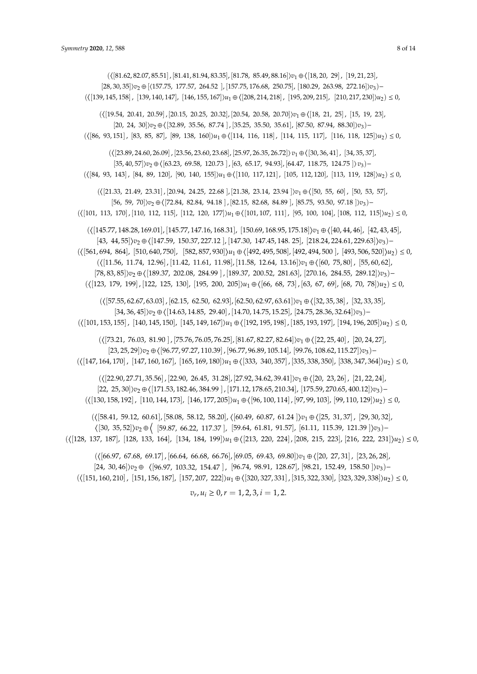$$
(\langle [123, 179, 199], [122, 125, 130], [195, 200, 205] \rangle u_1 \oplus \langle [66, 68, 73], [63, 67, 69], [68, 70, 78] \rangle u_2 \le 0,
$$
  

$$
(\langle [57.55, 62.67, 63.03], [62.15, 62.50, 62.93], [62.50, 62.97, 63.61] \rangle v_1 \oplus \langle [32, 35, 38], [32, 33, 35],
$$
  

$$
[34, 36, 45] \rangle v_2 \oplus \langle [14.63, 14.85, 29.40], [14.70, 14.75, 15.25], [24.75, 28.36, 32.64] \rangle v_3)
$$
  

$$
(\langle [101, 153, 155], [140, 145, 150], [145, 149, 167] \rangle u_1 \oplus \langle [192, 195, 198], [185, 193, 197], [194, 196, 205] \rangle u_2 \le 0,
$$
  

$$
(\langle [73.21, 76.03, 81.90], [75.76, 76.05, 76.25], [81.67, 82.27, 82.64] \rangle v_1 \oplus \langle [22, 25, 40], [20, 24, 27],
$$
  

$$
[23, 25, 29] \rangle v_2 \oplus \langle [96.77, 97.27, 110.39], [96.77, 96.89, 105.14], [99.76, 108.62, 115.27] \rangle v_3)
$$
  

$$
(\langle [147, 164, 170], [147, 160, 167], [165, 169, 180] \rangle u_1 \oplus \langle [333, 340, 357], [335, 338, 350], [338, 347, 364] \rangle
$$

 $(\{81.62, 82.07, 85.51\}, [81.41, 81.94, 83.35], [81.78, 85.49, 88.16]\}v_1 \oplus \{[18, 20, 29]$ ,  $[19, 21, 23]$ , [28, 30, 35]i*v*<sup>2</sup> ⊕ [h157.75, 177.57, 264.52 ], [157.75, 176.68, 250.75], [180.29, 263.98, 272.16]i*v*3)−  $(\langle 139, 145, 158], [139, 140, 147], [146, 155, 167] \rangle u_1 \oplus \langle 208, 214, 218], [195, 209, 215], [210, 217, 230] \rangle u_2) \leq 0$ 

 $(\langle [19.54, 20.41, 20.59], [20.15, 20.25, 20.32], [20.54, 20.58, 20.70] \rangle v_1 \oplus \langle [18, 21, 25], [15, 19, 23],$ [20, 24, 30]) $v_2 \oplus \langle 32.89, 35.56, 87.74 \rangle$ , [35.25, 35.50, 35.61], [87.50, 87.94, 88.30]) $v_3$ )−  $\left(\left\{ \left[86, 93, 151\right], \left[83, 85, 87\right], \left[89, 138, 160\right]\right\} u_1 \oplus \left\langle \left[114, 116, 118\right], \left[114, 115, 117\right], \left[116, 118, 125\right]\right\rangle u_2 \right) \leq 0$ 

 $\left( \left\{ \left[ 23.89, 24.60, 26.09 \right], \left[ 23.56, 23.60, 23.68 \right], \left[ 25.97, 26.35, 26.72 \right] \right\} v_{1} \oplus \left\{ \left[ 30, 36, 41 \right], \right. \left. \left[ 34, 35, 37 \right],$ [35, 40, 57]) $v_2 \oplus \langle 63.23, 69.58, 120.73 \rangle$ , [63, 65.17, 94.93], [64.47, 118.75, 124.75 ]) $v_3$ )−  $\left(\left\{ \left[84,\ 93,\ 143\right],\ \left[84,\ 89,\ 120\right],\ \left[90,\ 140,\ 155\right]\right\} u_{1}+oplus\left(\left[110,\ 117,121\right],\ \left[105,\ 112,120\right],\ \left[113,\ 119,\ 128\right]\right) u_{2}\right)\leq0,$ 

 $(\{21.33, 21.49, 23.31\}, [20.94, 24.25, 22.68], [21.38, 23.14, 23.94]\}v_1 \oplus \{[50, 55, 60], [50, 53, 57],$ [56, 59, 70]) $v_2 \oplus \langle [72.84, 82.84, 94.18]$ , [82.15, 82.68, 84.89], [85.75, 93.50, 97.18]) $v_3$ )−  $\left(\left\langle \begin{bmatrix} 101, 113, 170 \end{bmatrix}, [110, 112, 115], [112, 120, 177] \right\rangle u_1 + \oplus \left\langle \begin{bmatrix} 101, 107, 111 \end{bmatrix}, [95, 100, 104], [108, 112, 115] \right\rangle u_2 \right) \leq 0,$ 

 $(\langle [145.77, 148.28, 169.01], [145.77, 147.16, 168.31], [150.69, 168.95, 175.18] \rangle v_1 \oplus \langle [40, 44, 46], [42, 43, 45],$ [43, 44, 55] *v*<sup>2</sup> ⊕ [147.59, 150.37, 227.12 ], [147.30, 147.45, 148. 25], [218.24, 224.61, 229.63] *v*3)−  $(\langle 561, 694, 864], [510, 640, 750], [582, 857, 930] \rangle u_1 \oplus \langle 492, 495, 508], [492, 494, 500], [493, 506, 520] \rangle u_2) \leq 0$  $(\langle [11.56, 11.74, 12.96], [11.42, 11.61, 11.98], [11.58, 12.64, 13.16] \rangle v_1 \oplus \langle [60, 75, 80], [55, 60, 62],$  $[78, 83, 85]\nu_2 \oplus \langle [189.37, 202.08, 284.99], [189.37, 200.52, 281.63], [270.16, 284.55, 289.12]\nu_3)-$ 

 $\left(\left\langle \left[66.97,\ 67.68,\ 69.17\right],\left[66.64,\ 66.68,\ 66.76\right],\left[69.05,\ 69.43,\ 69.80\right]\right\rangle v_{1}\oplus\left\langle \left[20,\ 27,31\right],\ \left[23,26,28\right],\right.$ [24, 30, 46] $)v_2 \oplus \langle [96.97, 103.32, 154.47], [96.74, 98.91, 128.67], [98.21, 152.49, 158.50]\rangle v_3$ )−  $(\langle [151, 160, 210]$ ,  $[151, 156, 187]$ ,  $[157, 207, 222]$ ) $u_1 \oplus \langle [320, 327, 331]$ ,  $[315, 322, 330]$ ,  $[323, 329, 338]$  $\rangle u_2$ )  $\leq 0$ ,

$$
v_r, u_i \ge 0, r = 1, 2, 3, i = 1, 2.
$$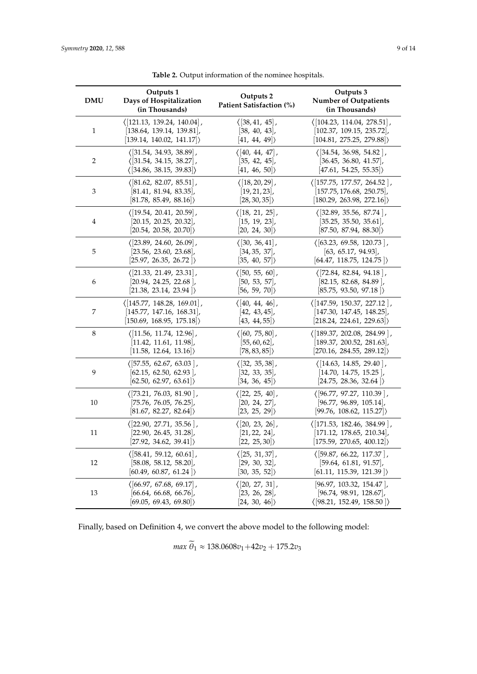<span id="page-8-0"></span>

| <b>DMU</b>     | Outputs 1<br>Days of Hospitalization<br>(in Thousands) | Outputs 2<br>Patient Satisfaction (%) | Outputs 3<br><b>Number of Outpatients</b><br>(in Thousands) |
|----------------|--------------------------------------------------------|---------------------------------------|-------------------------------------------------------------|
| $\mathbf{1}$   | $\langle$ [121.13, 139.24, 140.04],                    | $\langle 38, 41, 45 \rangle$ ,        | $\langle$ [104.23, 114.04, 278.51],                         |
|                | 138.64, 139.14, 139.81                                 | 38, 40, 43                            | 102.37, 109.15, 235.72 ,                                    |
|                | $ 139.14, 140.02, 141.17 \rangle$                      | $ 41, 44, 49\rangle$                  | (104.81, 275.25, 279.88)                                    |
| $\overline{2}$ | $\langle 31.54, 34.93, 38.89 \rangle$ ,                | $\langle 40, 44, 47 \rangle$ ,        | $\langle 34.54, 36.98, 54.82 \rangle$                       |
|                | $\langle$ [31.54, 34.15, 38.27],                       | $[35, 42, 45]$ ,                      | 36.45, 36.80, 41.57                                         |
|                | $\langle$ [34.86, 38.15, 39.83])                       | $ 41, 46, 50 \rangle$                 | $\vert 47.61, 54.25, 55.35 \vert$                           |
| 3              | $\langle [81.62, 82.07, 85.51],$                       | $\langle [18, 20, 29],$               | $\langle$ [157.75, 177.57, 264.52],                         |
|                | 81.41, 81.94, 83.35                                    | $[19, 21, 23]$ ,                      | $[157.75, 176.68, 250.75]$ ,                                |
|                | [81.78, 85.49, 88.16]                                  | [28, 30, 35]                          | $\vert 180.29, 263.98, 272.16 \vert$                        |
| 4              | $\langle$ [19.54, 20.41, 20.59],                       | $\langle$ [18, 21, 25],               | $(32.89, 35.56, 87.74)$ ,                                   |
|                | 20.15, 20.25, 20.32                                    | $[15, 19, 23]$ ,                      | 35.25, 35.50, 35.61                                         |
|                | $ 20.54, 20.58, 20.70 \rangle$                         | $ 20, 24, 30 \rangle$                 | [87.50, 87.94, 88.30]                                       |
| 5              | $\langle$ [23.89, 24.60, 26.09],                       | $\langle 30, 36, 41 \rangle$          | $\langle$ [63.23, 69.58, 120.73],                           |
|                | [23.56, 23.60, 23.68]                                  | $[34, 35, 37]$ ,                      | $[63, 65.17, 94.93]$ ,                                      |
|                | 25.97, 26.35, 26.72                                    | [35, 40, 57]                          | [64.47, 118.75, 124.75]                                     |
| 6              | $\langle$ [21.33, 21.49, 23.31],                       | $\langle 50, 55, 60 \rangle$ ,        | $\langle$ [72.84, 82.84, 94.18],                            |
|                | $[20.94, 24.25, 22.68]$ ,                              | $[50, 53, 57]$ ,                      | $[82.15, 82.68, 84.89]$ ,                                   |
|                | [21.38, 23.14, 23.94]                                  | [56, 59, 70]                          | [85.75, 93.50, 97.18]                                       |
| 7              | $\langle$ [145.77, 148.28, 169.01],                    | $\langle [40, 44, 46],$               | $\langle$ [147.59, 150.37, 227.12],                         |
|                | [145.77, 147.16, 168.31],                              | $[42, 43, 45]$ ,                      | [147.30, 147.45, 148.25],                                   |
|                | [150.69, 168.95, 175.18]                               | [43, 44, 55]                          | [218.24, 224.61, 229.63]                                    |
| 8              | $\langle$  11.56, 11.74, 12.96 ,                       | $\langle [60, 75, 80],$               | $\langle$ [189.37, 202.08, 284.99],                         |
|                | 11.42, 11.61, 11.98                                    | $[55, 60, 62]$ ,                      | $[189.37, 200.52, 281.63]$ ,                                |
|                | $ 11.58, 12.64, 13.16 \rangle$                         | $ 78, 83, 85 \rangle$                 | [270.16, 284.55, 289.12]                                    |
| 9              | $\langle 57.55, 62.67, 63.03 \rangle$                  | $\langle 32, 35, 38 \rangle$ ,        | $\langle$  14.63, 14.85, 29.40  ,                           |
|                | $[62.15, 62.50, 62.93]$ ,                              | 32, 33, 35                            | [14.70, 14.75, 15.25]                                       |
|                | [62.50, 62.97, 63.61]                                  | [34, 36, 45]                          | $\vert 24.75, 28.36, 32.64 \vert \rangle$                   |
| 10             | $\langle$ [73.21, 76.03, 81.90],                       | $\langle [22, 25, 40]$ ,              | $\langle$ [96.77, 97.27, 110.39],                           |
|                | 75.76, 76.05, 76.25                                    | $ 20, 24, 27 $ ,                      | 96.77, 96.89, 105.14                                        |
|                | $ 81.67, 82.27, 82.64 \rangle$                         | [23, 25, 29]                          | [99.76, 108.62, 115.27]                                     |
| 11             | ( 22.90, 27.71, 35.56   ,                              | $\langle 20, 23, 26 \rangle$          | $\langle$ [171.53, 182.46, 384.99],                         |
|                | [22.90, 26.45, 31.28]                                  | $ 21, 22, 24 $ ,                      | 171.12, 178.65, 210.34 ,                                    |
|                | [27.92, 34.62, 39.41]                                  | [22, 25, 30]                          | [175.59, 270.65, 400.12]                                    |
| 12             | $\langle 58.41, 59.12, 60.61 \rangle$                  | $\langle 25, 31, 37 \rangle$          | $\langle$ [59.87, 66.22, 117.37],                           |
|                | 58.08, 58.12, 58.20                                    | $[29, 30, 32]$ ,                      | 59.64, 61.81, 91.57                                         |
|                | $\vert 60.49, 60.87, 61.24 \vert$                      | [30, 35, 52]                          | [61.11, 115.39, 121.39]                                     |
| 13             | $\langle$ [66.97, 67.68, 69.17],                       | $\langle 20, 27, 31 \rangle$          | [96.97, 103.32, 154.47]                                     |
|                | $[66.64, 66.68, 66.76]$ ,                              | 23, 26, 28                            | [96.74, 98.91, 128.67]                                      |
|                | [69.05, 69.43, 69.80]                                  | [24, 30, 46]                          | $\langle$ [98.21, 152.49, 158.50])                          |

**Table 2.** Output information of the nominee hospitals.

Finally, based on Definition 4, we convert the above model to the following model:

*max*  $\widetilde{\theta}_1 \approx 138.0608v_1 + 42v_2 + 175.2v_3$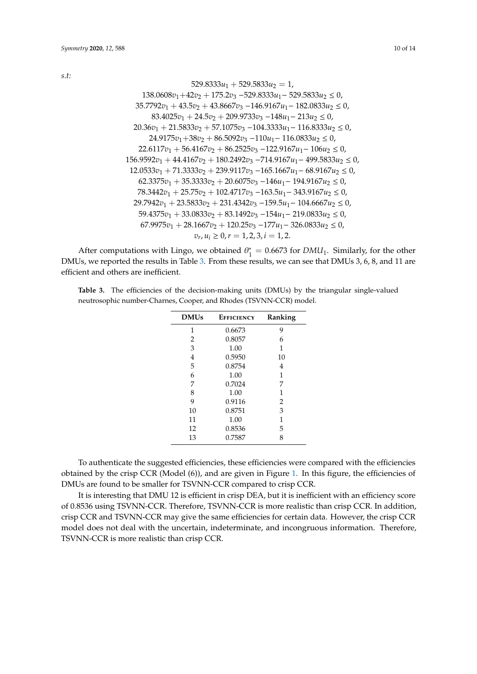*s.t:*

$$
529.8333u_1 + 529.5833u_2 = 1,
$$
  
\n
$$
138.0608v_1 + 42v_2 + 175.2v_3 - 529.8333u_1 - 529.5833u_2 \le 0,
$$
  
\n
$$
35.7792v_1 + 43.5v_2 + 43.8667v_3 - 146.9167u_1 - 182.0833u_2 \le 0,
$$
  
\n
$$
83.4025v_1 + 24.5v_2 + 209.9733v_3 - 148u_1 - 213u_2 \le 0,
$$
  
\n
$$
20.36v_1 + 21.5833v_2 + 57.1075v_3 - 104.3333u_1 - 116.8333u_2 \le 0,
$$
  
\n
$$
24.9175v_1 + 38v_2 + 86.5092v_3 - 110u_1 - 116.0833u_2 \le 0,
$$
  
\n
$$
22.6117v_1 + 56.4167v_2 + 86.2525v_3 - 122.9167u_1 - 106u_2 \le 0,
$$
  
\n
$$
156.9592v_1 + 44.4167v_2 + 180.2492v_3 - 714.9167u_1 - 499.5833u_2 \le 0,
$$
  
\n
$$
12.0533v_1 + 71.3333v_2 + 239.9117v_3 - 165.1667u_1 - 68.9167u_2 \le 0,
$$
  
\n
$$
62.3375v_1 + 35.3333v_2 + 20.6075v_3 - 146u_1 - 194.9167u_2 \le 0,
$$
  
\n
$$
62.3375v_1 + 35.3333v_2 + 20.6075v_3 - 146u_1 - 194.9167u_2 \le 0,
$$
  
\n
$$
62.337
$$

After computations with Lingo, we obtained  $\theta_1^*$  $i_1^* = 0.6673$  for *DMU*<sub>1</sub>. Similarly, for the other DMUs, we reported the results in Table [3.](#page-9-0) From these results, we can see that DMUs 3, 6, 8, and 11 are efficient and others are inefficient.

<span id="page-9-0"></span>**Table 3.** The efficiencies of the decision-making units (DMUs) by the triangular single-valued neutrosophic number-Charnes, Cooper, and Rhodes (TSVNN-CCR) model.

| <b>DMUs</b> | <b>EFFICIENCY</b> | Ranking |
|-------------|-------------------|---------|
| 1           | 0.6673            | 9       |
| 2           | 0.8057            | 6       |
| 3           | 1.00              | 1       |
| 4           | 0.5950            | 10      |
| 5           | 0.8754            | 4       |
| 6           | 1.00              | 1       |
| 7           | 0.7024            | 7       |
| 8           | 1.00              | 1       |
| 9           | 0.9116            | 2       |
| 10          | 0.8751            | 3       |
| 11          | 1.00              | 1       |
| 12          | 0.8536            | 5       |
| 13          | 0.7587            | 8       |

To authenticate the suggested efficiencies, these efficiencies were compared with the efficiencies obtained by the crisp CCR (Model (6)), and are given in Figure [1.](#page-10-1) In this figure, the efficiencies of DMUs are found to be smaller for TSVNN-CCR compared to crisp CCR.

It is interesting that DMU 12 is efficient in crisp DEA, but it is inefficient with an efficiency score of 0.8536 using TSVNN-CCR. Therefore, TSVNN-CCR is more realistic than crisp CCR. In addition, crisp CCR and TSVNN-CCR may give the same efficiencies for certain data. However, the crisp CCR model does not deal with the uncertain, indeterminate, and incongruous information. Therefore, TSVNN-CCR is more realistic than crisp CCR.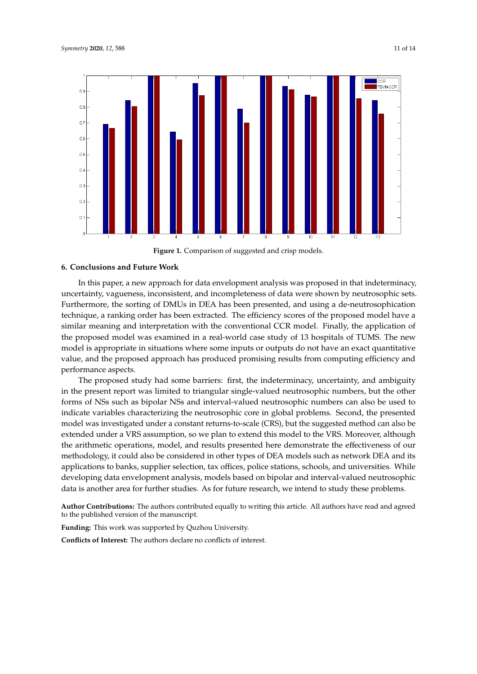<span id="page-10-1"></span>

**Figure 1.** Comparison of suggested and crisp models. **Figure 1.** Comparison of suggested and crisp models.

#### <span id="page-10-0"></span> $\blacksquare$ It is that DMU 12 is efficient in crisis DEA, but it is integrated with an efficient with an efficient with an efficient with an effect of  $\blacksquare$ **6. Conclusions and Future Work**

In this paper, a new approach for data envelopment analysis was proposed in that indeterminacy, uncertainty, vagueness, inconsistent, and incompleteness of data were shown by neutrosophic sets. Furthermore, the sorting of DMUs in DEA has been presented, and using a de-neutrosophication technique, a ranking order has been extracted. The efficiency scores of the proposed model have a the proposed model was examined in a real-world case study of 13 hospitals of TUMS. The new model is appropriate in situations where some inputs or outputs do not have an exact quantitative model is appropriate in situations where some inputs or outputs do not have an exact quantitative value, and the proposed approach has produced promising results from computing efficiency and value. neutrosophic sets. Furthermore, the sorting of DMUs in DeA has been presented, and using a desimilar meaning and interpretation with the conventional CCR model. Finally, the application of performance aspects.

The proposed study had some barriers: first, the indeterminacy, uncertainty, and ambiguity in the present report was limited to triangular single-valued neutrosophic numbers, but the other forms of NSs such as bipolar NSs and interval-valued neutrosophic numbers can also be used to 13 km in a realindicate variables characterizing the neutrosophic core in global problems. Second, the presented in the not outputs do not presented model was investigated under a constant returns-to-scale (CRS), but the suggested method can also be<br>which is the summer when we have a constant returns-to-scale (CRS), but the suggested method can also be computing efficiency and performance aspects. extended under a VRS assumption, so we plan to extend this model to the VRS. Moreover, although the arithmetic operations, model, and results presented here demonstrate the effectiveness of our<br>the distribution in the line of the contract of the distribution in the line of the line of the line the present report was limited to triangular single-valued neutrosophic numbers, but the other forms methodology, it could also be considered in other types of DEA models such as network DEA and its applications to banks, supplier selection, tax offices, police stations, schools, and universities. While developing data envelopment analysis, models based on bipolar and interval-valued neutrosophic<br>developing data is another area for further studies. As for future research, we intend to study these problems.

Author Contributions: The authors contributed equally to writing this article. All authors have read and agreed to the published version of the manuscript.

Funding: This work was supported by Quzhou University.

**Conflicts of Interest:** The authors declare no conflicts of interest.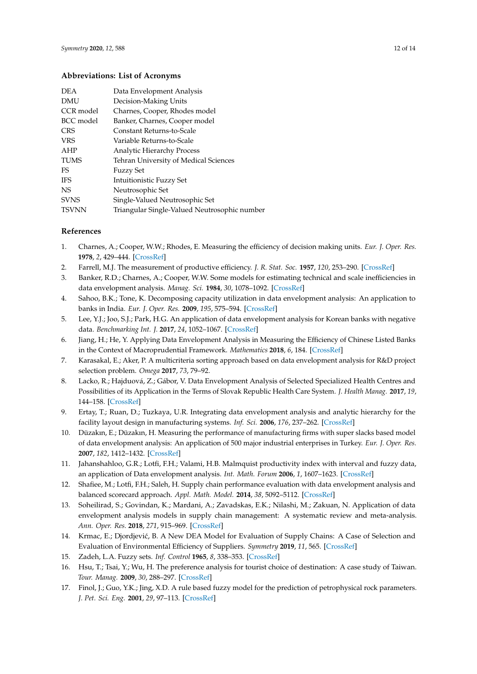#### **Abbreviations: List of Acronyms**

| <b>DEA</b>   | Data Envelopment Analysis                    |
|--------------|----------------------------------------------|
| <b>DMU</b>   | Decision-Making Units                        |
| CCR model    | Charnes, Cooper, Rhodes model                |
| BCC model    | Banker, Charnes, Cooper model                |
| <b>CRS</b>   | Constant Returns-to-Scale                    |
| <b>VRS</b>   | Variable Returns-to-Scale                    |
| AHP          | <b>Analytic Hierarchy Process</b>            |
| <b>TUMS</b>  | Tehran University of Medical Sciences        |
| FS.          | <b>Fuzzy Set</b>                             |
| IFS          | Intuitionistic Fuzzy Set                     |
| <b>NS</b>    | Neutrosophic Set                             |
| <b>SVNS</b>  | Single-Valued Neutrosophic Set               |
| <b>TSVNN</b> | Triangular Single-Valued Neutrosophic number |

### **References**

- <span id="page-11-0"></span>1. Charnes, A.; Cooper, W.W.; Rhodes, E. Measuring the efficiency of decision making units. *Eur. J. Oper. Res.* **1978**, *2*, 429–444. [\[CrossRef\]](http://dx.doi.org/10.1016/0377-2217(78)90138-8)
- <span id="page-11-1"></span>2. Farrell, M.J. The measurement of productive efficiency. *J. R. Stat. Soc.* **1957**, *120*, 253–290. [\[CrossRef\]](http://dx.doi.org/10.2307/2343100)
- <span id="page-11-2"></span>3. Banker, R.D.; Charnes, A.; Cooper, W.W. Some models for estimating technical and scale inefficiencies in data envelopment analysis. *Manag. Sci.* **1984**, *30*, 1078–1092. [\[CrossRef\]](http://dx.doi.org/10.1287/mnsc.30.9.1078)
- <span id="page-11-3"></span>4. Sahoo, B.K.; Tone, K. Decomposing capacity utilization in data envelopment analysis: An application to banks in India. *Eur. J. Oper. Res.* **2009**, *195*, 575–594. [\[CrossRef\]](http://dx.doi.org/10.1016/j.ejor.2008.02.017)
- 5. Lee, Y.J.; Joo, S.J.; Park, H.G. An application of data envelopment analysis for Korean banks with negative data. *Benchmarking Int. J.* **2017**, *24*, 1052–1067. [\[CrossRef\]](http://dx.doi.org/10.1108/BIJ-02-2016-0023)
- 6. Jiang, H.; He, Y. Applying Data Envelopment Analysis in Measuring the Efficiency of Chinese Listed Banks in the Context of Macroprudential Framework. *Mathematics* **2018**, *6*, 184. [\[CrossRef\]](http://dx.doi.org/10.3390/math6100184)
- 7. Karasakal, E.; Aker, P. A multicriteria sorting approach based on data envelopment analysis for R&D project selection problem. *Omega* **2017**, *73*, 79–92.
- 8. Lacko, R.; Hajduová, Z.; Gábor, V. Data Envelopment Analysis of Selected Specialized Health Centres and Possibilities of its Application in the Terms of Slovak Republic Health Care System. *J. Health Manag.* **2017**, *19*, 144–158. [\[CrossRef\]](http://dx.doi.org/10.1177/0972063416682634)
- 9. Ertay, T.; Ruan, D.; Tuzkaya, U.R. Integrating data envelopment analysis and analytic hierarchy for the facility layout design in manufacturing systems. *Inf. Sci.* **2006**, *176*, 237–262. [\[CrossRef\]](http://dx.doi.org/10.1016/j.ins.2004.12.001)
- 10. Düzakın, E.; Düzakın, H. Measuring the performance of manufacturing firms with super slacks based model of data envelopment analysis: An application of 500 major industrial enterprises in Turkey. *Eur. J. Oper. Res.* **2007**, *182*, 1412–1432. [\[CrossRef\]](http://dx.doi.org/10.1016/j.ejor.2006.09.036)
- 11. Jahanshahloo, G.R.; Lotfi, F.H.; Valami, H.B. Malmquist productivity index with interval and fuzzy data, an application of Data envelopment analysis. *Int. Math. Forum* **2006**, *1*, 1607–1623. [\[CrossRef\]](http://dx.doi.org/10.12988/imf.2006.06138)
- 12. Shafiee, M.; Lotfi, F.H.; Saleh, H. Supply chain performance evaluation with data envelopment analysis and balanced scorecard approach. *Appl. Math. Model.* **2014**, *38*, 5092–5112. [\[CrossRef\]](http://dx.doi.org/10.1016/j.apm.2014.03.023)
- 13. Soheilirad, S.; Govindan, K.; Mardani, A.; Zavadskas, E.K.; Nilashi, M.; Zakuan, N. Application of data envelopment analysis models in supply chain management: A systematic review and meta-analysis. *Ann. Oper. Res.* **2018**, *271*, 915–969. [\[CrossRef\]](http://dx.doi.org/10.1007/s10479-017-2605-1)
- <span id="page-11-4"></span>14. Krmac, E.; Djordjević, B. A New DEA Model for Evaluation of Supply Chains: A Case of Selection and Evaluation of Environmental Efficiency of Suppliers. *Symmetry* **2019**, *11*, 565. [\[CrossRef\]](http://dx.doi.org/10.3390/sym11040565)
- <span id="page-11-5"></span>15. Zadeh, L.A. Fuzzy sets. *Inf. Control* **1965**, *8*, 338–353. [\[CrossRef\]](http://dx.doi.org/10.1016/S0019-9958(65)90241-X)
- <span id="page-11-6"></span>16. Hsu, T.; Tsai, Y.; Wu, H. The preference analysis for tourist choice of destination: A case study of Taiwan. *Tour. Manag.* **2009**, *30*, 288–297. [\[CrossRef\]](http://dx.doi.org/10.1016/j.tourman.2008.07.011)
- 17. Finol, J.; Guo, Y.K.; Jing, X.D. A rule based fuzzy model for the prediction of petrophysical rock parameters. *J. Pet. Sci. Eng.* **2001**, *29*, 97–113. [\[CrossRef\]](http://dx.doi.org/10.1016/S0920-4105(00)00096-6)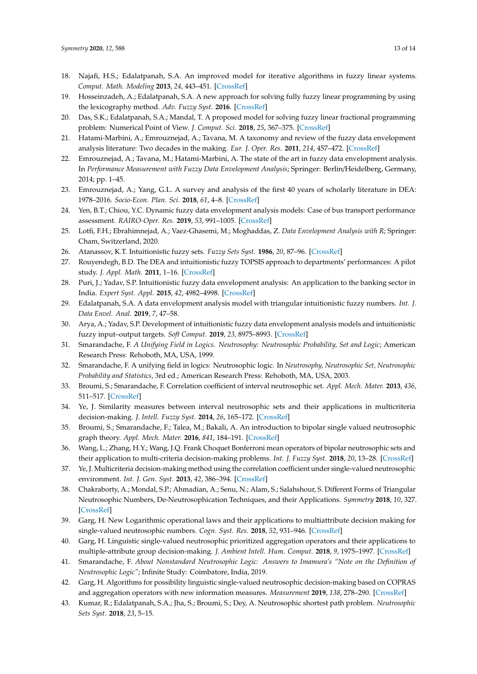- 18. Najafi, H.S.; Edalatpanah, S.A. An improved model for iterative algorithms in fuzzy linear systems. *Comput. Math. Modeling* **2013**, *24*, 443–451. [\[CrossRef\]](http://dx.doi.org/10.1007/s10598-013-9189-7)
- 19. Hosseinzadeh, A.; Edalatpanah, S.A. A new approach for solving fully fuzzy linear programming by using the lexicography method. *Adv. Fuzzy Syst.* **2016**. [\[CrossRef\]](http://dx.doi.org/10.1155/2016/1538496)
- <span id="page-12-0"></span>20. Das, S.K.; Edalatpanah, S.A.; Mandal, T. A proposed model for solving fuzzy linear fractional programming problem: Numerical Point of View. *J. Comput. Sci.* **2018**, *25*, 367–375. [\[CrossRef\]](http://dx.doi.org/10.1016/j.jocs.2017.12.004)
- <span id="page-12-1"></span>21. Hatami-Marbini, A.; Emrouznejad, A.; Tavana, M. A taxonomy and review of the fuzzy data envelopment analysis literature: Two decades in the making. *Eur. J. Oper. Res.* **2011**, *214*, 457–472. [\[CrossRef\]](http://dx.doi.org/10.1016/j.ejor.2011.02.001)
- 22. Emrouznejad, A.; Tavana, M.; Hatami-Marbini, A. The state of the art in fuzzy data envelopment analysis. In *Performance Measurement with Fuzzy Data Envelopment Analysis*; Springer: Berlin/Heidelberg, Germany, 2014; pp. 1–45.
- 23. Emrouznejad, A.; Yang, G.L. A survey and analysis of the first 40 years of scholarly literature in DEA: 1978–2016. *Socio-Econ. Plan. Sci.* **2018**, *61*, 4–8. [\[CrossRef\]](http://dx.doi.org/10.1016/j.seps.2017.01.008)
- 24. Yen, B.T.; Chiou, Y.C. Dynamic fuzzy data envelopment analysis models: Case of bus transport performance assessment. *RAIRO-Oper. Res.* **2019**, *53*, 991–1005. [\[CrossRef\]](http://dx.doi.org/10.1051/ro/2017064)
- <span id="page-12-2"></span>25. Lotfi, F.H.; Ebrahimnejad, A.; Vaez-Ghasemi, M.; Moghaddas, Z. *Data Envelopment Analysis with R*; Springer: Cham, Switzerland, 2020.
- <span id="page-12-4"></span><span id="page-12-3"></span>26. Atanassov, K.T. Intuitionistic fuzzy sets. *Fuzzy Sets Syst.* **1986**, *20*, 87–96. [\[CrossRef\]](http://dx.doi.org/10.1016/S0165-0114(86)80034-3)
- 27. Rouyendegh, B.D. The DEA and intuitionistic fuzzy TOPSIS approach to departments' performances: A pilot study. *J. Appl. Math.* **2011**, 1–16. [\[CrossRef\]](http://dx.doi.org/10.1155/2011/712194)
- 28. Puri, J.; Yadav, S.P. Intuitionistic fuzzy data envelopment analysis: An application to the banking sector in India. *Expert Syst. Appl.* **2015**, *42*, 4982–4998. [\[CrossRef\]](http://dx.doi.org/10.1016/j.eswa.2015.02.014)
- 29. Edalatpanah, S.A. A data envelopment analysis model with triangular intuitionistic fuzzy numbers. *Int. J. Data Envel. Anal.* **2019**, *7*, 47–58.
- <span id="page-12-5"></span>30. Arya, A.; Yadav, S.P. Development of intuitionistic fuzzy data envelopment analysis models and intuitionistic fuzzy input–output targets. *Soft Comput.* **2019**, *23*, 8975–8993. [\[CrossRef\]](http://dx.doi.org/10.1007/s00500-018-3504-3)
- <span id="page-12-6"></span>31. Smarandache, F. *A Unifying Field in Logics. Neutrosophy: Neutrosophic Probability, Set and Logic*; American Research Press: Rehoboth, MA, USA, 1999.
- <span id="page-12-7"></span>32. Smarandache, F. A unifying field in logics: Neutrosophic logic. In *Neutrosophy, Neutrosophic Set, Neutrosophic Probability and Statistics*, 3rd ed.; American Research Press: Rehoboth, MA, USA, 2003.
- <span id="page-12-8"></span>33. Broumi, S.; Smarandache, F. Correlation coefficient of interval neutrosophic set. *Appl. Mech. Mater.* **2013**, *436*, 511–517. [\[CrossRef\]](http://dx.doi.org/10.4028/www.scientific.net/AMM.436.511)
- <span id="page-12-9"></span>34. Ye, J. Similarity measures between interval neutrosophic sets and their applications in multicriteria decision-making. *J. Intell. Fuzzy Syst.* **2014**, *26*, 165–172. [\[CrossRef\]](http://dx.doi.org/10.3233/IFS-120724)
- <span id="page-12-10"></span>35. Broumi, S.; Smarandache, F.; Talea, M.; Bakali, A. An introduction to bipolar single valued neutrosophic graph theory. *Appl. Mech. Mater.* **2016**, *841*, 184–191. [\[CrossRef\]](http://dx.doi.org/10.4028/www.scientific.net/AMM.841.184)
- <span id="page-12-11"></span>36. Wang, L.; Zhang, H.Y.; Wang, J.Q. Frank Choquet Bonferroni mean operators of bipolar neutrosophic sets and their application to multi-criteria decision-making problems. *Int. J. Fuzzy Syst.* **2018**, *20*, 13–28. [\[CrossRef\]](http://dx.doi.org/10.1007/s40815-017-0373-3)
- <span id="page-12-12"></span>37. Ye, J. Multicriteria decision-making method using the correlation coefficient under single-valued neutrosophic environment. *Int. J. Gen. Syst.* **2013**, *42*, 386–394. [\[CrossRef\]](http://dx.doi.org/10.1080/03081079.2012.761609)
- <span id="page-12-16"></span>38. Chakraborty, A.; Mondal, S.P.; Ahmadian, A.; Senu, N.; Alam, S.; Salahshour, S. Different Forms of Triangular Neutrosophic Numbers, De-Neutrosophication Techniques, and their Applications. *Symmetry* **2018**, *10*, 327. [\[CrossRef\]](http://dx.doi.org/10.3390/sym10080327)
- <span id="page-12-13"></span>39. Garg, H. New Logarithmic operational laws and their applications to multiattribute decision making for single-valued neutrosophic numbers. *Cogn. Syst. Res.* **2018**, *52*, 931–946. [\[CrossRef\]](http://dx.doi.org/10.1016/j.cogsys.2018.09.001)
- <span id="page-12-14"></span>40. Garg, H. Linguistic single-valued neutrosophic prioritized aggregation operators and their applications to multiple-attribute group decision-making. *J. Ambient Intell. Hum. Comput.* **2018**, *9*, 1975–1997. [\[CrossRef\]](http://dx.doi.org/10.1007/s12652-018-0723-5)
- <span id="page-12-15"></span>41. Smarandache, F. *About Nonstandard Neutrosophic Logic: Answers to Imamura's "Note on the Definition of Neutrosophic Logic"*; Infinite Study: Coimbatore, India, 2019.
- 42. Garg, H. Algorithms for possibility linguistic single-valued neutrosophic decision-making based on COPRAS and aggregation operators with new information measures. *Measurement* **2019**, *138*, 278–290. [\[CrossRef\]](http://dx.doi.org/10.1016/j.measurement.2019.02.031)
- 43. Kumar, R.; Edalatpanah, S.A.; Jha, S.; Broumi, S.; Dey, A. Neutrosophic shortest path problem. *Neutrosophic Sets Syst.* **2018**, *23*, 5–15.